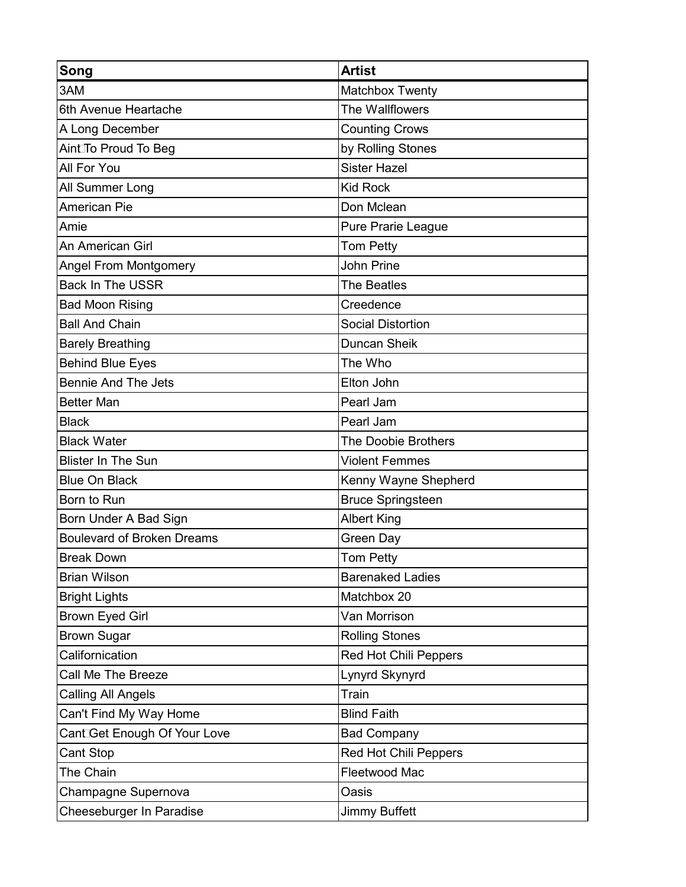| Song                              | <b>Artist</b>                |
|-----------------------------------|------------------------------|
| 3AM                               | Matchbox Twenty              |
| 6th Avenue Heartache              | The Wallflowers              |
| A Long December                   | <b>Counting Crows</b>        |
| AintTo Proud To Beg               | by Rolling Stones            |
| All For You                       | <b>Sister Hazel</b>          |
| All Summer Long                   | <b>Kid Rock</b>              |
| <b>American Pie</b>               | Don Mclean                   |
| Amie                              | Pure Prarie League           |
| An American Girl                  | <b>Tom Petty</b>             |
| <b>Angel From Montgomery</b>      | <b>John Prine</b>            |
| <b>Back In The USSR</b>           | <b>The Beatles</b>           |
| <b>Bad Moon Rising</b>            | Creedence                    |
| <b>Ball And Chain</b>             | <b>Social Distortion</b>     |
| <b>Barely Breathing</b>           | <b>Duncan Sheik</b>          |
| <b>Behind Blue Eyes</b>           | The Who                      |
| <b>Bennie And The Jets</b>        | Elton John                   |
| <b>Better Man</b>                 | Pearl Jam                    |
| <b>Black</b>                      | Pearl Jam                    |
| <b>Black Water</b>                | The Doobie Brothers          |
| <b>Blister In The Sun</b>         | <b>Violent Femmes</b>        |
| <b>Blue On Black</b>              | Kenny Wayne Shepherd         |
| Born to Run                       | <b>Bruce Springsteen</b>     |
| Born Under A Bad Sign             | <b>Albert King</b>           |
| <b>Boulevard of Broken Dreams</b> | <b>Green Day</b>             |
| <b>Break Down</b>                 | Tom Petty                    |
| <b>Brian Wilson</b>               | <b>Barenaked Ladies</b>      |
| <b>Bright Lights</b>              | Matchbox 20                  |
| <b>Brown Eyed Girl</b>            | Van Morrison                 |
| <b>Brown Sugar</b>                | <b>Rolling Stones</b>        |
| Californication                   | <b>Red Hot Chili Peppers</b> |
| Call Me The Breeze                | Lynyrd Skynyrd               |
| <b>Calling All Angels</b>         | Train                        |
| Can't Find My Way Home            | <b>Blind Faith</b>           |
| Cant Get Enough Of Your Love      | <b>Bad Company</b>           |
| Cant Stop                         | <b>Red Hot Chili Peppers</b> |
| The Chain                         | Fleetwood Mac                |
| Champagne Supernova               | Oasis                        |
| Cheeseburger In Paradise          | <b>Jimmy Buffett</b>         |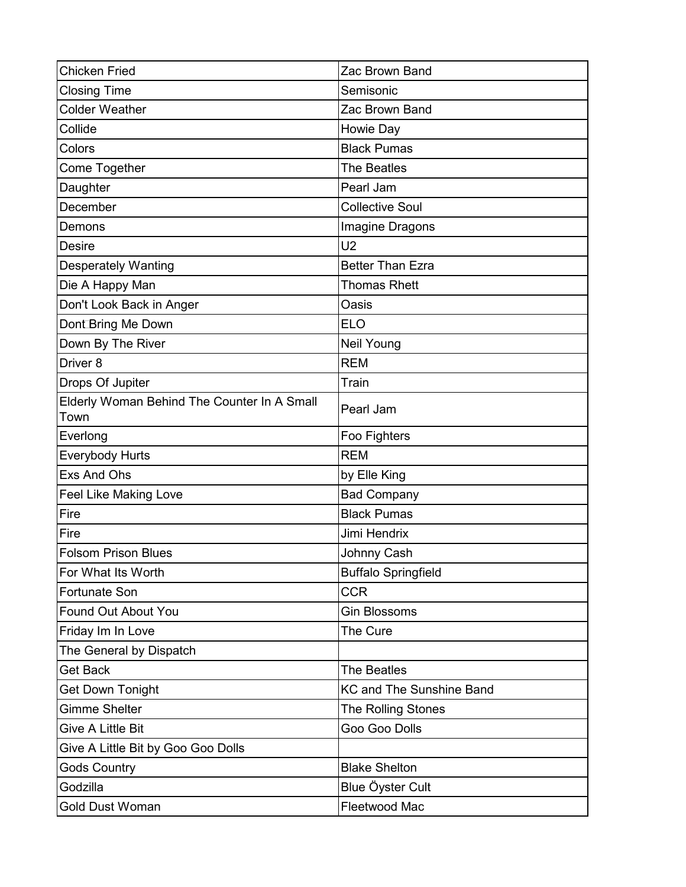| <b>Chicken Fried</b>                                | Zac Brown Band                  |
|-----------------------------------------------------|---------------------------------|
| <b>Closing Time</b>                                 | Semisonic                       |
| <b>Colder Weather</b>                               | Zac Brown Band                  |
| Collide                                             | Howie Day                       |
| Colors                                              | <b>Black Pumas</b>              |
| Come Together                                       | <b>The Beatles</b>              |
| Daughter                                            | Pearl Jam                       |
| December                                            | <b>Collective Soul</b>          |
| Demons                                              | Imagine Dragons                 |
| <b>Desire</b>                                       | U <sub>2</sub>                  |
| <b>Desperately Wanting</b>                          | <b>Better Than Ezra</b>         |
| Die A Happy Man                                     | <b>Thomas Rhett</b>             |
| Don't Look Back in Anger                            | Oasis                           |
| Dont Bring Me Down                                  | <b>ELO</b>                      |
| Down By The River                                   | Neil Young                      |
| Driver <sub>8</sub>                                 | <b>REM</b>                      |
| Drops Of Jupiter                                    | Train                           |
| Elderly Woman Behind The Counter In A Small<br>Town | Pearl Jam                       |
| Everlong                                            | Foo Fighters                    |
| <b>Everybody Hurts</b>                              | <b>REM</b>                      |
| Exs And Ohs                                         | by Elle King                    |
| <b>Feel Like Making Love</b>                        | <b>Bad Company</b>              |
| Fire                                                | <b>Black Pumas</b>              |
| Fire                                                | Jimi Hendrix                    |
| <b>Folsom Prison Blues</b>                          | Johnny Cash                     |
| For What Its Worth                                  | <b>Buffalo Springfield</b>      |
| <b>Fortunate Son</b>                                | <b>CCR</b>                      |
| Found Out About You                                 | <b>Gin Blossoms</b>             |
| Friday Im In Love                                   | The Cure                        |
| The General by Dispatch                             |                                 |
| <b>Get Back</b>                                     | The Beatles                     |
| <b>Get Down Tonight</b>                             | <b>KC and The Sunshine Band</b> |
| <b>Gimme Shelter</b>                                | <b>The Rolling Stones</b>       |
| Give A Little Bit                                   | Goo Goo Dolls                   |
| Give A Little Bit by Goo Goo Dolls                  |                                 |
| <b>Gods Country</b>                                 | <b>Blake Shelton</b>            |
| Godzilla                                            | Blue Öyster Cult                |
| <b>Gold Dust Woman</b>                              | Fleetwood Mac                   |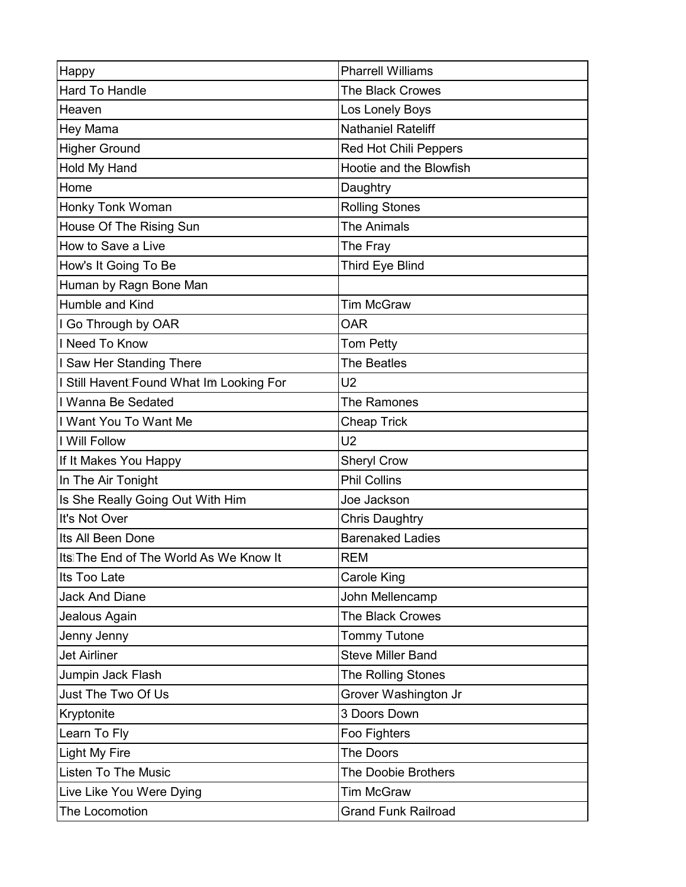| Happy                                    | <b>Pharrell Williams</b>     |
|------------------------------------------|------------------------------|
| <b>Hard To Handle</b>                    | <b>The Black Crowes</b>      |
| Heaven                                   | Los Lonely Boys              |
| Hey Mama                                 | <b>Nathaniel Rateliff</b>    |
| <b>Higher Ground</b>                     | <b>Red Hot Chili Peppers</b> |
| Hold My Hand                             | Hootie and the Blowfish      |
| Home                                     | Daughtry                     |
| <b>Honky Tonk Woman</b>                  | <b>Rolling Stones</b>        |
| House Of The Rising Sun                  | <b>The Animals</b>           |
| How to Save a Live                       | The Fray                     |
| How's It Going To Be                     | Third Eye Blind              |
| Human by Ragn Bone Man                   |                              |
| Humble and Kind                          | <b>Tim McGraw</b>            |
| I Go Through by OAR                      | <b>OAR</b>                   |
| I Need To Know                           | <b>Tom Petty</b>             |
| I Saw Her Standing There                 | <b>The Beatles</b>           |
| I Still Havent Found What Im Looking For | U <sub>2</sub>               |
| I Wanna Be Sedated                       | The Ramones                  |
| I Want You To Want Me                    | <b>Cheap Trick</b>           |
| I Will Follow                            | U <sub>2</sub>               |
| If It Makes You Happy                    | <b>Sheryl Crow</b>           |
| In The Air Tonight                       | <b>Phil Collins</b>          |
| Is She Really Going Out With Him         | Joe Jackson                  |
| It's Not Over                            | <b>Chris Daughtry</b>        |
| Its All Been Done                        | <b>Barenaked Ladies</b>      |
| Its The End of The World As We Know It   | <b>REM</b>                   |
| Its Too Late                             | Carole King                  |
| <b>Jack And Diane</b>                    | John Mellencamp              |
| Jealous Again                            | <b>The Black Crowes</b>      |
| Jenny Jenny                              | <b>Tommy Tutone</b>          |
| <b>Jet Airliner</b>                      | <b>Steve Miller Band</b>     |
| Jumpin Jack Flash                        | The Rolling Stones           |
| Just The Two Of Us                       | Grover Washington Jr         |
| Kryptonite                               | 3 Doors Down                 |
| Learn To Fly                             | Foo Fighters                 |
| <b>Light My Fire</b>                     | The Doors                    |
| <b>Listen To The Music</b>               | <b>The Doobie Brothers</b>   |
| Live Like You Were Dying                 | <b>Tim McGraw</b>            |
| The Locomotion                           | <b>Grand Funk Railroad</b>   |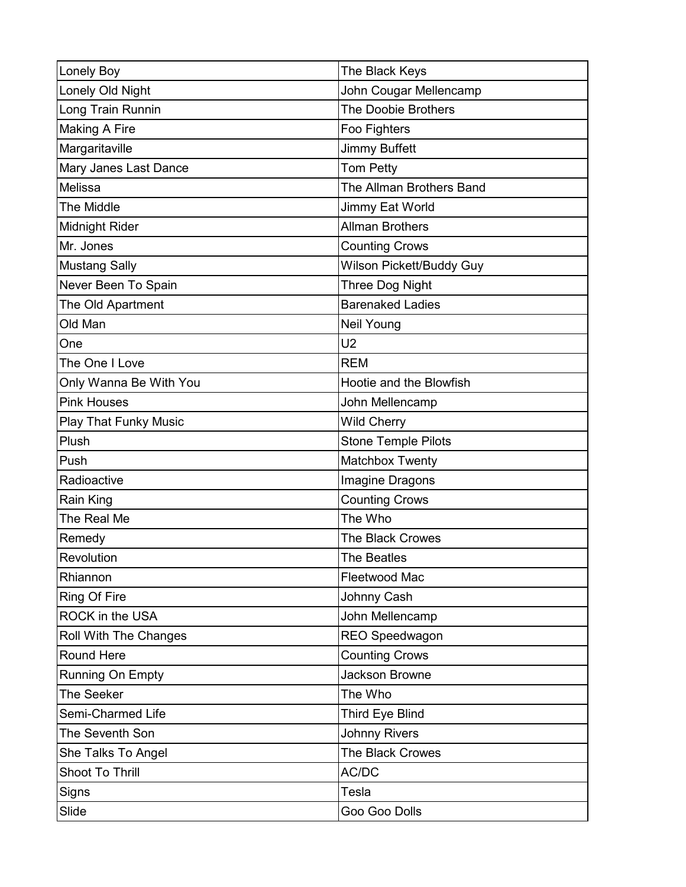| <b>Lonely Boy</b>            | The Black Keys             |
|------------------------------|----------------------------|
| Lonely Old Night             | John Cougar Mellencamp     |
| Long Train Runnin            | <b>The Doobie Brothers</b> |
| <b>Making A Fire</b>         | Foo Fighters               |
| Margaritaville               | <b>Jimmy Buffett</b>       |
| Mary Janes Last Dance        | Tom Petty                  |
| Melissa                      | The Allman Brothers Band   |
| <b>The Middle</b>            | Jimmy Eat World            |
| Midnight Rider               | <b>Allman Brothers</b>     |
| Mr. Jones                    | <b>Counting Crows</b>      |
| <b>Mustang Sally</b>         | Wilson Pickett/Buddy Guy   |
| Never Been To Spain          | Three Dog Night            |
| The Old Apartment            | <b>Barenaked Ladies</b>    |
| Old Man                      | Neil Young                 |
| One                          | U <sub>2</sub>             |
| The One I Love               | <b>REM</b>                 |
| Only Wanna Be With You       | Hootie and the Blowfish    |
| <b>Pink Houses</b>           | John Mellencamp            |
| <b>Play That Funky Music</b> | <b>Wild Cherry</b>         |
| Plush                        | <b>Stone Temple Pilots</b> |
| Push                         | Matchbox Twenty            |
| Radioactive                  | Imagine Dragons            |
| Rain King                    | <b>Counting Crows</b>      |
| The Real Me                  | The Who                    |
| Remedy                       | <b>The Black Crowes</b>    |
| Revolution                   | The Beatles                |
| Rhiannon                     | Fleetwood Mac              |
| Ring Of Fire                 | Johnny Cash                |
| ROCK in the USA              | John Mellencamp            |
| Roll With The Changes        | <b>REO Speedwagon</b>      |
| Round Here                   | <b>Counting Crows</b>      |
| Running On Empty             | <b>Jackson Browne</b>      |
| The Seeker                   | The Who                    |
| Semi-Charmed Life            | Third Eye Blind            |
| The Seventh Son              | <b>Johnny Rivers</b>       |
| She Talks To Angel           | The Black Crowes           |
| Shoot To Thrill              | AC/DC                      |
| Signs                        | Tesla                      |
| Slide                        | Goo Goo Dolls              |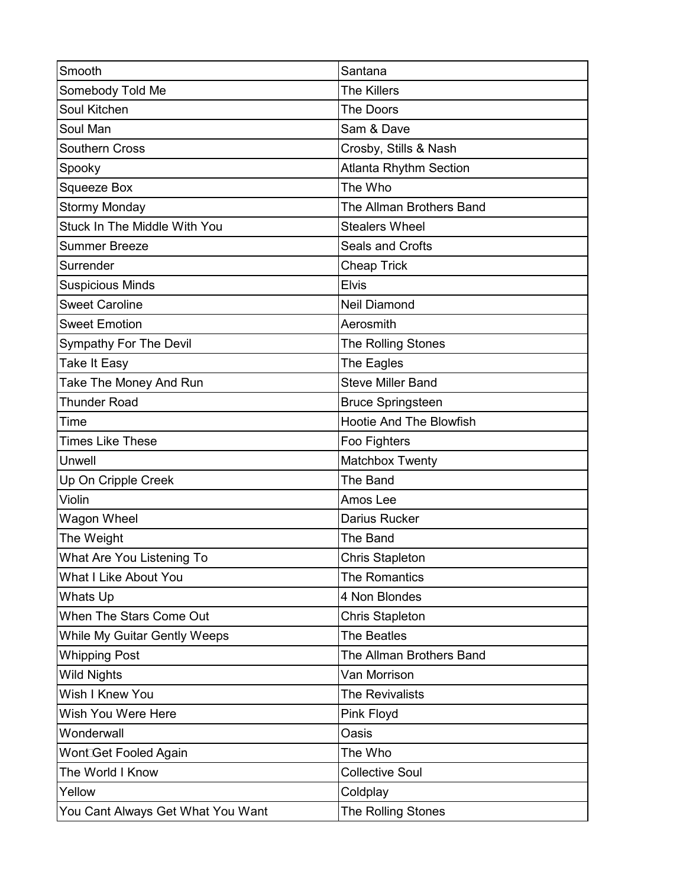| Smooth                              | Santana                        |
|-------------------------------------|--------------------------------|
| Somebody Told Me                    | <b>The Killers</b>             |
| Soul Kitchen                        | The Doors                      |
| Soul Man                            | Sam & Dave                     |
| <b>Southern Cross</b>               | Crosby, Stills & Nash          |
| Spooky                              | <b>Atlanta Rhythm Section</b>  |
| <b>Squeeze Box</b>                  | The Who                        |
| <b>Stormy Monday</b>                | The Allman Brothers Band       |
| <b>Stuck In The Middle With You</b> | <b>Stealers Wheel</b>          |
| <b>Summer Breeze</b>                | <b>Seals and Crofts</b>        |
| Surrender                           | <b>Cheap Trick</b>             |
| <b>Suspicious Minds</b>             | <b>Elvis</b>                   |
| <b>Sweet Caroline</b>               | <b>Neil Diamond</b>            |
| <b>Sweet Emotion</b>                | Aerosmith                      |
| <b>Sympathy For The Devil</b>       | The Rolling Stones             |
| <b>Take It Easy</b>                 | The Eagles                     |
| Take The Money And Run              | <b>Steve Miller Band</b>       |
| <b>Thunder Road</b>                 | <b>Bruce Springsteen</b>       |
| Time                                | <b>Hootie And The Blowfish</b> |
| <b>Times Like These</b>             | Foo Fighters                   |
| Unwell                              | Matchbox Twenty                |
| Up On Cripple Creek                 | The Band                       |
| Violin                              | Amos Lee                       |
| Wagon Wheel                         | Darius Rucker                  |
| The Weight                          | <b>The Band</b>                |
| What Are You Listening To           | <b>Chris Stapleton</b>         |
| <b>What I Like About You</b>        | The Romantics                  |
| Whats Up                            | 4 Non Blondes                  |
| When The Stars Come Out             | <b>Chris Stapleton</b>         |
| <b>While My Guitar Gently Weeps</b> | <b>The Beatles</b>             |
| <b>Whipping Post</b>                | The Allman Brothers Band       |
| <b>Wild Nights</b>                  | Van Morrison                   |
| Wish I Knew You                     | <b>The Revivalists</b>         |
| Wish You Were Here                  | <b>Pink Floyd</b>              |
| Wonderwall                          | Oasis                          |
| Wont Get Fooled Again               | The Who                        |
| The World I Know                    | <b>Collective Soul</b>         |
| Yellow                              | Coldplay                       |
| You Cant Always Get What You Want   | The Rolling Stones             |